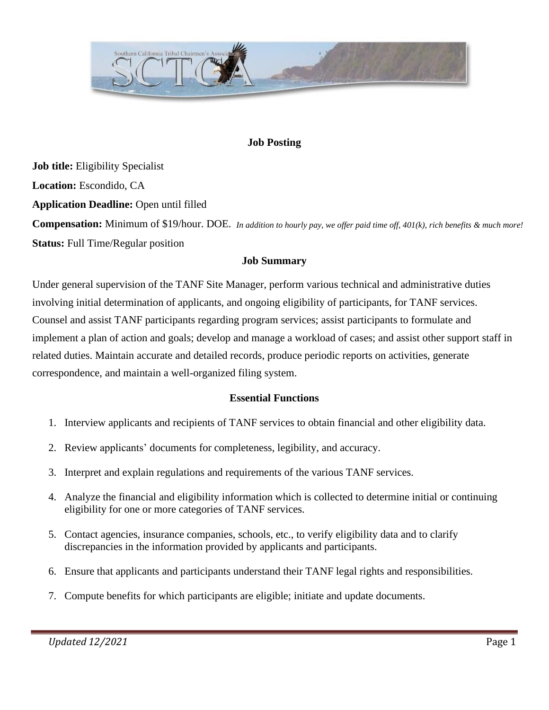

#### **Job Posting**

**Job title:** Eligibility Specialist **Location:** Escondido, CA **Application Deadline:** Open until filled **Compensation:** Minimum of \$19/hour. DOE. *In addition to hourly pay, we offer paid time off, 401(k), rich benefits & much more!***Status:** Full Time/Regular position

#### **Job Summary**

Under general supervision of the TANF Site Manager, perform various technical and administrative duties involving initial determination of applicants, and ongoing eligibility of participants, for TANF services. Counsel and assist TANF participants regarding program services; assist participants to formulate and implement a plan of action and goals; develop and manage a workload of cases; and assist other support staff in related duties. Maintain accurate and detailed records, produce periodic reports on activities, generate correspondence, and maintain a well-organized filing system.

#### **Essential Functions**

- 1. Interview applicants and recipients of TANF services to obtain financial and other eligibility data.
- 2. Review applicants' documents for completeness, legibility, and accuracy.
- 3. Interpret and explain regulations and requirements of the various TANF services.
- 4. Analyze the financial and eligibility information which is collected to determine initial or continuing eligibility for one or more categories of TANF services.
- 5. Contact agencies, insurance companies, schools, etc., to verify eligibility data and to clarify discrepancies in the information provided by applicants and participants.
- 6. Ensure that applicants and participants understand their TANF legal rights and responsibilities.
- 7. Compute benefits for which participants are eligible; initiate and update documents.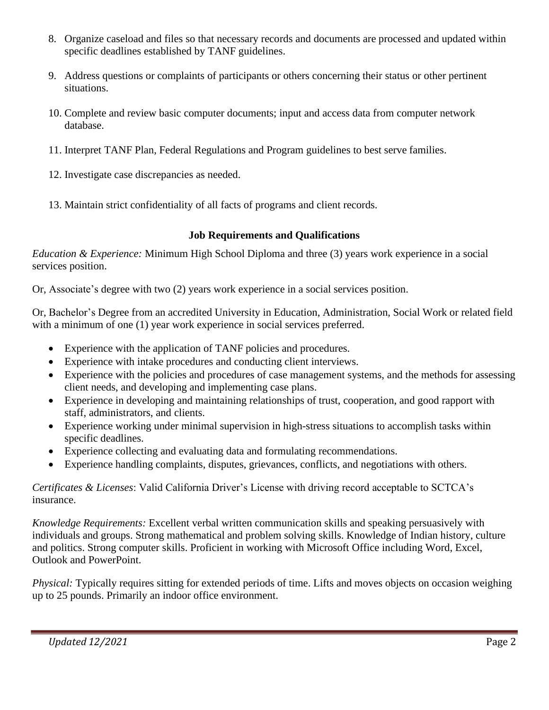- 8. Organize caseload and files so that necessary records and documents are processed and updated within specific deadlines established by TANF guidelines.
- 9. Address questions or complaints of participants or others concerning their status or other pertinent situations.
- 10. Complete and review basic computer documents; input and access data from computer network database.
- 11. Interpret TANF Plan, Federal Regulations and Program guidelines to best serve families.
- 12. Investigate case discrepancies as needed.
- 13. Maintain strict confidentiality of all facts of programs and client records.

### **Job Requirements and Qualifications**

*Education & Experience:* Minimum High School Diploma and three (3) years work experience in a social services position.

Or, Associate's degree with two (2) years work experience in a social services position.

Or, Bachelor's Degree from an accredited University in Education, Administration, Social Work or related field with a minimum of one (1) year work experience in social services preferred.

- Experience with the application of TANF policies and procedures.
- Experience with intake procedures and conducting client interviews.
- Experience with the policies and procedures of case management systems, and the methods for assessing client needs, and developing and implementing case plans.
- Experience in developing and maintaining relationships of trust, cooperation, and good rapport with staff, administrators, and clients.
- Experience working under minimal supervision in high-stress situations to accomplish tasks within specific deadlines.
- Experience collecting and evaluating data and formulating recommendations.
- Experience handling complaints, disputes, grievances, conflicts, and negotiations with others.

#### *Certificates & Licenses*: Valid California Driver's License with driving record acceptable to SCTCA's insurance.

*Knowledge Requirements:* Excellent verbal written communication skills and speaking persuasively with individuals and groups. Strong mathematical and problem solving skills. Knowledge of Indian history, culture and politics. Strong computer skills. Proficient in working with Microsoft Office including Word, Excel, Outlook and PowerPoint.

*Physical:* Typically requires sitting for extended periods of time. Lifts and moves objects on occasion weighing up to 25 pounds. Primarily an indoor office environment.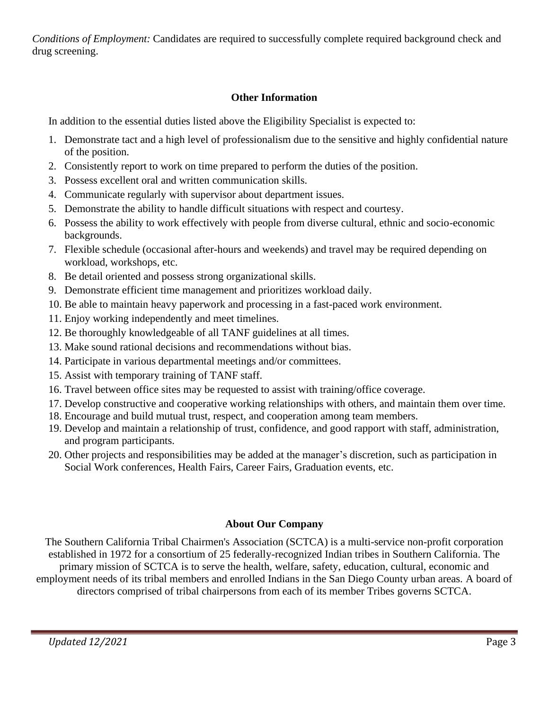*Conditions of Employment:* Candidates are required to successfully complete required background check and drug screening.

### **Other Information**

In addition to the essential duties listed above the Eligibility Specialist is expected to:

- 1. Demonstrate tact and a high level of professionalism due to the sensitive and highly confidential nature of the position.
- 2. Consistently report to work on time prepared to perform the duties of the position.
- 3. Possess excellent oral and written communication skills.
- 4. Communicate regularly with supervisor about department issues.
- 5. Demonstrate the ability to handle difficult situations with respect and courtesy.
- 6. Possess the ability to work effectively with people from diverse cultural, ethnic and socio-economic backgrounds.
- 7. Flexible schedule (occasional after-hours and weekends) and travel may be required depending on workload, workshops, etc.
- 8. Be detail oriented and possess strong organizational skills.
- 9. Demonstrate efficient time management and prioritizes workload daily.
- 10. Be able to maintain heavy paperwork and processing in a fast-paced work environment.
- 11. Enjoy working independently and meet timelines.
- 12. Be thoroughly knowledgeable of all TANF guidelines at all times.
- 13. Make sound rational decisions and recommendations without bias.
- 14. Participate in various departmental meetings and/or committees.
- 15. Assist with temporary training of TANF staff.
- 16. Travel between office sites may be requested to assist with training/office coverage.
- 17. Develop constructive and cooperative working relationships with others, and maintain them over time.
- 18. Encourage and build mutual trust, respect, and cooperation among team members.
- 19. Develop and maintain a relationship of trust, confidence, and good rapport with staff, administration, and program participants.
- 20. Other projects and responsibilities may be added at the manager's discretion, such as participation in Social Work conferences, Health Fairs, Career Fairs, Graduation events, etc.

## **About Our Company**

The Southern California Tribal Chairmen's Association (SCTCA) is a multi-service non-profit corporation established in 1972 for a consortium of 25 federally-recognized Indian tribes in Southern California. The primary mission of SCTCA is to serve the health, welfare, safety, education, cultural, economic and employment needs of its tribal members and enrolled Indians in the San Diego County urban areas. A board of directors comprised of tribal chairpersons from each of its member Tribes governs SCTCA.